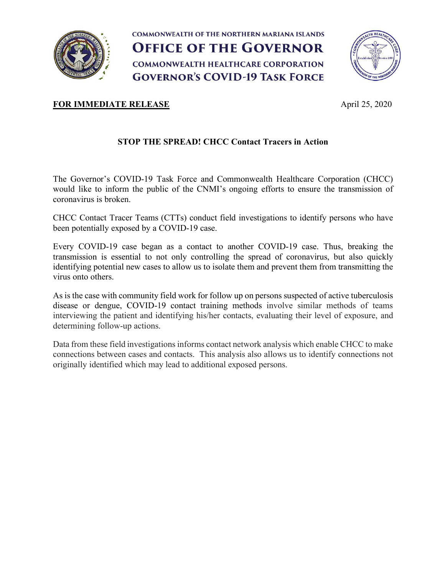

**COMMONWEALTH OF THE NORTHERN MARIANA ISLANDS OFFICE OF THE GOVERNOR COMMONWEALTH HEALTHCARE CORPORATION GOVERNOR'S COVID-19 TASK FORCE** 



## **FOR IMMEDIATE RELEASE** April 25, 2020

## **STOP THE SPREAD! CHCC Contact Tracers in Action**

The Governor's COVID-19 Task Force and Commonwealth Healthcare Corporation (CHCC) would like to inform the public of the CNMI's ongoing efforts to ensure the transmission of coronavirus is broken.

CHCC Contact Tracer Teams (CTTs) conduct field investigations to identify persons who have been potentially exposed by a COVID-19 case.

Every COVID-19 case began as a contact to another COVID-19 case. Thus, breaking the transmission is essential to not only controlling the spread of coronavirus, but also quickly identifying potential new cases to allow us to isolate them and prevent them from transmitting the virus onto others.

As is the case with community field work for follow up on persons suspected of active tuberculosis disease or dengue, COVID-19 contact training methods involve similar methods of teams interviewing the patient and identifying his/her contacts, evaluating their level of exposure, and determining follow-up actions.

Data from these field investigations informs contact network analysis which enable CHCC to make connections between cases and contacts. This analysis also allows us to identify connections not originally identified which may lead to additional exposed persons.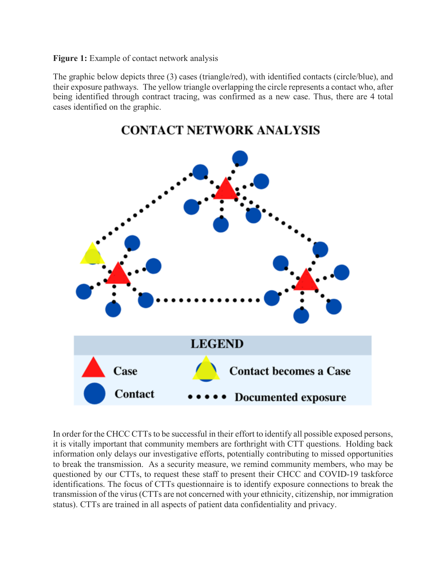**Figure 1:** Example of contact network analysis

The graphic below depicts three (3) cases (triangle/red), with identified contacts (circle/blue), and their exposure pathways. The yellow triangle overlapping the circle represents a contact who, after being identified through contract tracing, was confirmed as a new case. Thus, there are 4 total cases identified on the graphic.



In order for the CHCC CTTs to be successful in their effort to identify all possible exposed persons, it is vitally important that community members are forthright with CTT questions. Holding back information only delays our investigative efforts, potentially contributing to missed opportunities to break the transmission. As a security measure, we remind community members, who may be questioned by our CTTs, to request these staff to present their CHCC and COVID-19 taskforce identifications. The focus of CTTs questionnaire is to identify exposure connections to break the transmission of the virus (CTTs are not concerned with your ethnicity, citizenship, nor immigration status). CTTs are trained in all aspects of patient data confidentiality and privacy.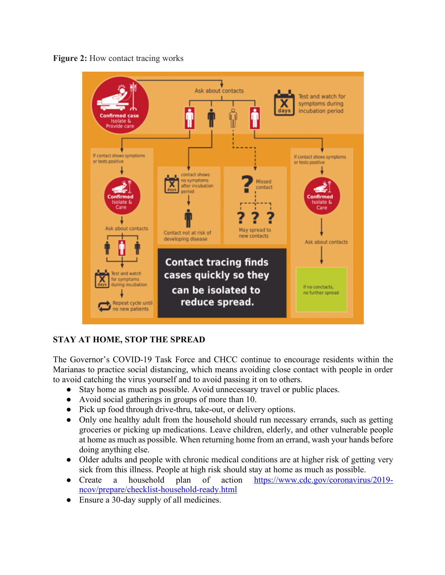



## **STAY AT HOME, STOP THE SPREAD**

The Governor's COVID-19 Task Force and CHCC continue to encourage residents within the Marianas to practice social distancing, which means avoiding close contact with people in order to avoid catching the virus yourself and to avoid passing it on to others.

- Stay home as much as possible. Avoid unnecessary travel or public places.
- Avoid social gatherings in groups of more than 10.
- Pick up food through drive-thru, take-out, or delivery options.
- Only one healthy adult from the household should run necessary errands, such as getting groceries or picking up medications. Leave children, elderly, and other vulnerable people at home as much as possible. When returning home from an errand, wash your hands before doing anything else.
- Older adults and people with chronic medical conditions are at higher risk of getting very sick from this illness. People at high risk should stay at home as much as possible.
- Create a household plan of action https://www.cdc.gov/coronavirus/2019ncov/prepare/checklist-household-ready.html
- Ensure a 30-day supply of all medicines.